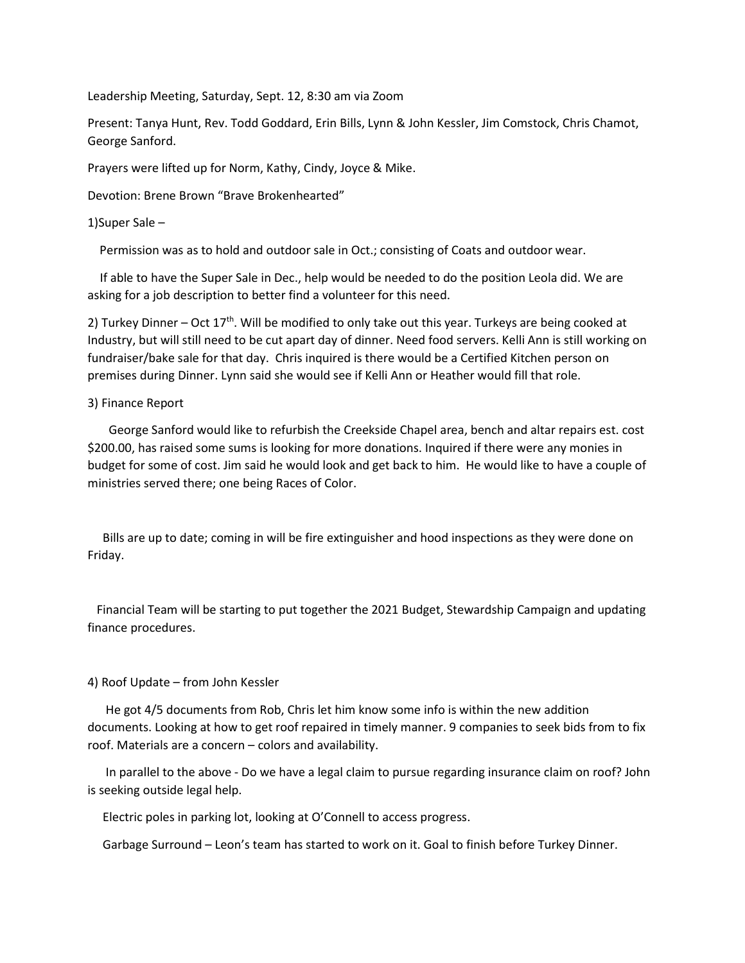Leadership Meeting, Saturday, Sept. 12, 8:30 am via Zoom

Present: Tanya Hunt, Rev. Todd Goddard, Erin Bills, Lynn & John Kessler, Jim Comstock, Chris Chamot, George Sanford.

Prayers were lifted up for Norm, Kathy, Cindy, Joyce & Mike.

Devotion: Brene Brown "Brave Brokenhearted"

## 1)Super Sale –

Permission was as to hold and outdoor sale in Oct.; consisting of Coats and outdoor wear.

 If able to have the Super Sale in Dec., help would be needed to do the position Leola did. We are asking for a job description to better find a volunteer for this need.

2) Turkey Dinner – Oct  $17<sup>th</sup>$ . Will be modified to only take out this year. Turkeys are being cooked at Industry, but will still need to be cut apart day of dinner. Need food servers. Kelli Ann is still working on fundraiser/bake sale for that day. Chris inquired is there would be a Certified Kitchen person on premises during Dinner. Lynn said she would see if Kelli Ann or Heather would fill that role.

## 3) Finance Report

 George Sanford would like to refurbish the Creekside Chapel area, bench and altar repairs est. cost \$200.00, has raised some sums is looking for more donations. Inquired if there were any monies in budget for some of cost. Jim said he would look and get back to him. He would like to have a couple of ministries served there; one being Races of Color.

 Bills are up to date; coming in will be fire extinguisher and hood inspections as they were done on Friday.

 Financial Team will be starting to put together the 2021 Budget, Stewardship Campaign and updating finance procedures.

## 4) Roof Update – from John Kessler

 He got 4/5 documents from Rob, Chris let him know some info is within the new addition documents. Looking at how to get roof repaired in timely manner. 9 companies to seek bids from to fix roof. Materials are a concern – colors and availability.

 In parallel to the above - Do we have a legal claim to pursue regarding insurance claim on roof? John is seeking outside legal help.

Electric poles in parking lot, looking at O'Connell to access progress.

Garbage Surround – Leon's team has started to work on it. Goal to finish before Turkey Dinner.